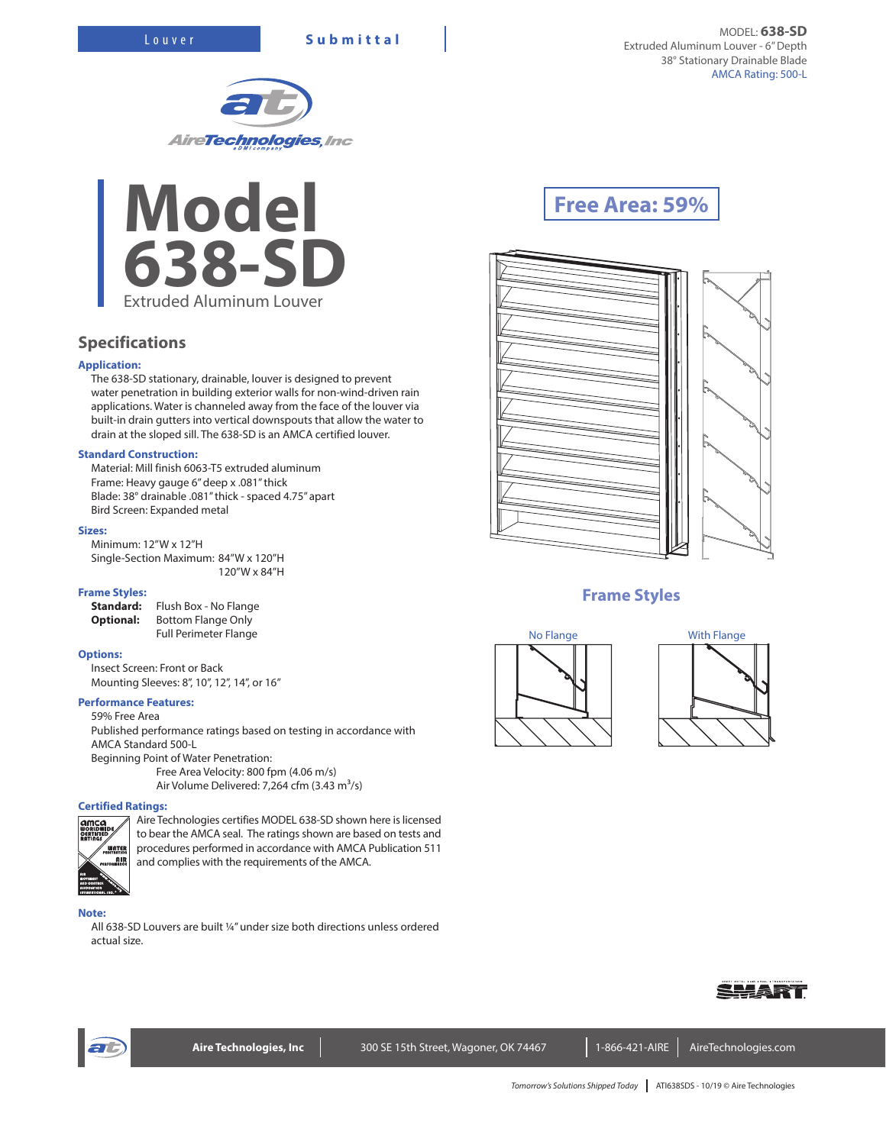



## **Specifications**

#### **Application:**

The 638-SD stationary, drainable, louver is designed to prevent water penetration in building exterior walls for non-wind-driven rain applications. Water is channeled away from the face of the louver via built-in drain gutters into vertical downspouts that allow the water to drain at the sloped sill. The 638-SD is an AMCA certified louver.

#### **Standard Construction:**

Material: Mill finish 6063-T5 extruded aluminum Frame: Heavy gauge 6" deep x .081" thick Blade: 38° drainable .081" thick - spaced 4.75" apart Bird Screen: Expanded metal

#### **Sizes:**

Minimum: 12"W x 12"H Single-Section Maximum: 84"W x 120"H 120"W x 84"H

#### **Frame Styles:**

**Standard:** Flush Box - No Flange **Optional:** Bottom Flange Only Full Perimeter Flange

#### **Options:**

Insect Screen: Front or Back Mounting Sleeves: 8", 10", 12", 14", or 16"

#### **Performance Features:**

59% Free Area Published performance ratings based on testing in accordance with AMCA Standard 500-L Beginning Point of Water Penetration: Free Area Velocity: 800 fpm (4.06 m/s)

Air Volume Delivered: 7,264 cfm (3.43 m $3/$ s)

#### **Certified Ratings:**



Aire Technologies certifies MODEL 638-SD shown here is licensed to bear the AMCA seal. The ratings shown are based on tests and procedures performed in accordance with AMCA Publication 511 and complies with the requirements of the AMCA.

#### **Note:**

All 638-SD Louvers are built ¼" under size both directions unless ordered actual size.

# **Free Area: 59%**













Aire Technologies, Inc **Neta 300 SE 15th Street, Wagoner, OK 74467** 1-866-421-AIRE AireTechnologies.com